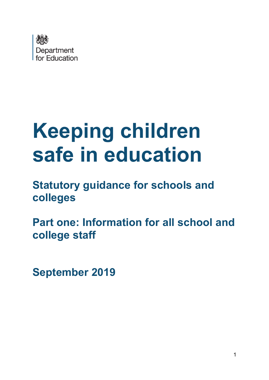

# **Keeping children safe in education**

**Statutory guidance for schools and colleges** 

**Part one: Information for all school and college staff** 

**September 2019**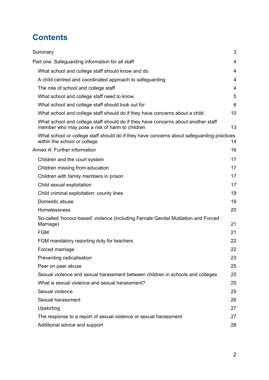# **Contents**

| Summary                                                                                                                             | 3  |
|-------------------------------------------------------------------------------------------------------------------------------------|----|
| Part one: Safeguarding information for all staff                                                                                    | 4  |
| What school and college staff should know and do                                                                                    | 4  |
| A child centred and coordinated approach to safeguarding                                                                            | 4  |
| The role of school and college staff                                                                                                | 4  |
| What school and college staff need to know                                                                                          | 5  |
| What school and college staff should look out for                                                                                   | 6  |
| What school and college staff should do if they have concerns about a child                                                         | 10 |
| What school and college staff should do if they have concerns about another staff<br>member who may pose a risk of harm to children | 13 |
| What school or college staff should do if they have concerns about safeguarding practices<br>within the school or college           | 14 |
| <b>Annex A: Further information</b>                                                                                                 | 16 |
| Children and the court system                                                                                                       | 17 |
| Children missing from education                                                                                                     | 17 |
| Children with family members in prison                                                                                              | 17 |
| Child sexual exploitation                                                                                                           | 17 |
| Child criminal exploitation: county lines                                                                                           | 19 |
| Domestic abuse                                                                                                                      | 19 |
| Homelessness                                                                                                                        | 20 |
| So-called 'honour-based' violence (including Female Genital Mutilation and Forced<br>Marriage)                                      | 21 |
| <b>FGM</b>                                                                                                                          | 21 |
| FGM mandatory reporting duty for teachers                                                                                           | 22 |
| Forced marriage                                                                                                                     | 22 |
| Preventing radicalisation                                                                                                           | 23 |
| Peer on peer abuse                                                                                                                  | 25 |
| Sexual violence and sexual harassment between children in schools and colleges                                                      | 25 |
| What is sexual violence and sexual harassment?                                                                                      | 25 |
| Sexual violence                                                                                                                     | 25 |
| Sexual harassment                                                                                                                   | 26 |
| Upskirting                                                                                                                          | 27 |
| The response to a report of sexual violence or sexual harassment                                                                    | 27 |
| Additional advice and support                                                                                                       | 28 |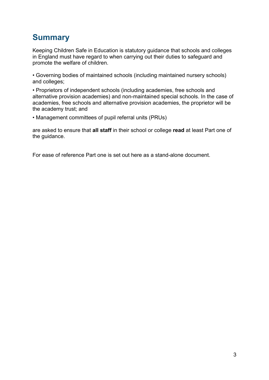# <span id="page-2-0"></span>**Summary**

Keeping Children Safe in Education is statutory guidance that schools and colleges in England must have regard to when carrying out their duties to safeguard and promote the welfare of children.

• Governing bodies of maintained schools (including maintained nursery schools) and colleges;

• Proprietors of independent schools (including academies, free schools and alternative provision academies) and non-maintained special schools. In the case of academies, free schools and alternative provision academies, the proprietor will be the academy trust; and

• Management committees of pupil referral units (PRUs)

are asked to ensure that **all staff** in their school or college **read** at least Part one of the guidance.

For ease of reference Part one is set out here as a stand-alone document.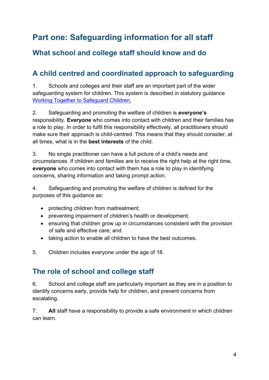# <span id="page-3-0"></span>**Part one: Safeguarding information for all staff**

## <span id="page-3-1"></span>**What school and college staff should know and do**

## <span id="page-3-2"></span>**A child centred and coordinated approach to safeguarding**

1. Schools and colleges and their staff are an important part of the wider safeguarding system for children. This system is described in statutory guidance [Working Together to Safeguard Children.](https://www.gov.uk/government/publications/working-together-to-safeguard-children--2)

2. Safeguarding and promoting the welfare of children is **everyone's** responsibility. **Everyone** who comes into contact with children and their families has a role to play. In order to fulfil this responsibility effectively, all practitioners should make sure their approach is child-centred. This means that they should consider, at all times, what is in the **best interests** of the child.

3. No single practitioner can have a full picture of a child's needs and circumstances. If children and families are to receive the right help at the right time, **everyone** who comes into contact with them has a role to play in identifying concerns, sharing information and taking prompt action.

4. Safeguarding and promoting the welfare of children is defined for the purposes of this guidance as:

- protecting children from maltreatment;
- preventing impairment of children's health or development;
- ensuring that children grow up in circumstances consistent with the provision of safe and effective care; and
- taking action to enable all children to have the best outcomes.

5. Children includes everyone under the age of 18.

## <span id="page-3-3"></span>**The role of school and college staff**

6. School and college staff are particularly important as they are in a position to identify concerns early, provide help for children, and prevent concerns from escalating.

7. **All** staff have a responsibility to provide a safe environment in which children can learn.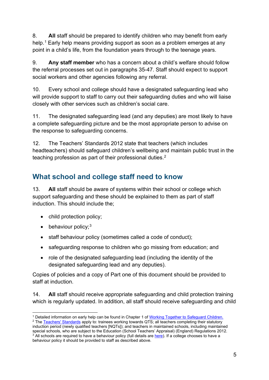8. **All** staff should be prepared to identify children who may benefit from early help.<sup>[1](#page-4-1)</sup> Early help means providing support as soon as a problem emerges at any point in a child's life, from the foundation years through to the teenage years.

9. **Any staff member** who has a concern about a child's welfare should follow the referral processes set out in paragraphs 35-47. Staff should expect to support social workers and other agencies following any referral.

10. Every school and college should have a designated safeguarding lead who will provide support to staff to carry out their safeguarding duties and who will liaise closely with other services such as children's social care.

11. The designated safeguarding lead (and any deputies) are most likely to have a complete safeguarding picture and be the most appropriate person to advise on the response to safeguarding concerns.

12. The Teachers' Standards 2012 state that teachers (which includes headteachers) should safeguard children's wellbeing and maintain public trust in the teaching profession as part of their professional duties.<sup>[2](#page-4-2)</sup>

## <span id="page-4-0"></span>**What school and college staff need to know**

13. **All** staff should be aware of systems within their school or college which support safeguarding and these should be explained to them as part of staff induction. This should include the;

- child protection policy;
- behaviour policy;<sup>[3](#page-4-3)</sup>
- staff behaviour policy (sometimes called a code of conduct);
- safeguarding response to children who go missing from education; and
- role of the designated safeguarding lead (including the identity of the designated safeguarding lead and any deputies).

Copies of policies and a copy of Part one of this document should be provided to staff at induction.

14. **All** staff should receive appropriate safeguarding and child protection training which is regularly updated. In addition, all staff should receive safeguarding and child

<sup>&</sup>lt;sup>1</sup> Detailed information on early help can be found in Chapter 1 of [Working Together to Safeguard Children.](https://www.gov.uk/government/publications/working-together-to-safeguard-children--2)

<span id="page-4-3"></span><span id="page-4-2"></span><span id="page-4-1"></span><sup>2</sup> The [Teachers' Standards](https://www.gov.uk/government/publications/teachers-standards) apply to: trainees working towards QTS; all teachers completing their statutory induction period (newly qualified teachers [NQTs]); and teachers in maintained schools, including maintained special schools, who are subject to the Education (School Teachers' Appraisal) (England) Regulations 2012. <sup>3</sup> All schools are required to have a behaviour policy (full details are [here\)](https://www.gov.uk/government/publications/behaviour-and-discipline-in-schools). If a college chooses to have a behaviour policy it should be provided to staff as described above.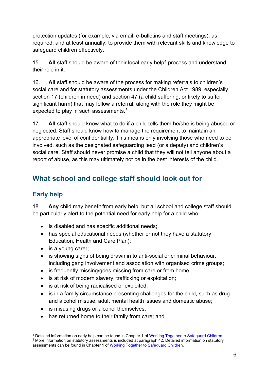protection updates (for example, via email, e-bulletins and staff meetings), as required, and at least annually, to provide them with relevant skills and knowledge to safeguard children effectively.

15. **All** staff should be aware of their local early help<sup>[4](#page-5-1)</sup> process and understand their role in it.

16. **All** staff should be aware of the process for making referrals to children's social care and for statutory assessments under the Children Act 1989, especially section 17 (children in need) and section 47 (a child suffering, or likely to suffer, significant harm) that may follow a referral, along with the role they might be expected to play in such assessments. [5](#page-5-2)

17. **All** staff should know what to do if a child tells them he/she is being abused or neglected. Staff should know how to manage the requirement to maintain an appropriate level of confidentiality. This means only involving those who need to be involved, such as the designated safeguarding lead (or a deputy) and children's social care. Staff should never promise a child that they will not tell anyone about a report of abuse, as this may ultimately not be in the best interests of the child.

## <span id="page-5-0"></span>**What school and college staff should look out for**

## **Early help**

18. **Any** child may benefit from early help, but all school and college staff should be particularly alert to the potential need for early help for a child who:

- is disabled and has specific additional needs;
- has special educational needs (whether or not they have a statutory Education, Health and Care Plan);
- is a young carer;
- is showing signs of being drawn in to anti-social or criminal behaviour, including gang involvement and association with organised crime groups;
- is frequently missing/goes missing from care or from home;
- is at risk of modern slavery, trafficking or exploitation;
- is at risk of being radicalised or exploited;
- is in a family circumstance presenting challenges for the child, such as drug and alcohol misuse, adult mental health issues and domestic abuse;
- is misusing drugs or alcohol themselves:
- has returned home to their family from care; and

<span id="page-5-2"></span><span id="page-5-1"></span><sup>&</sup>lt;sup>4</sup> Detailed information on early help can be found in Chapter 1 of [Working Together to Safeguard Children.](https://www.gov.uk/government/publications/working-together-to-safeguard-children--2)<br><sup>5</sup> More information on statutory assessments is included at paragraph 42. Detailed information on statutory assessments can be found in Chapter 1 of [Working Together to Safeguard Children.](https://www.gov.uk/government/publications/working-together-to-safeguard-children--2)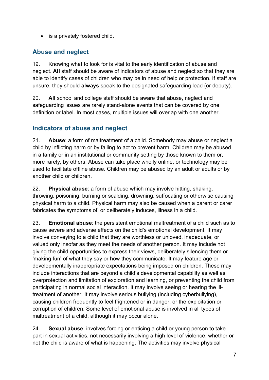• is a privately fostered child.

#### **Abuse and neglect**

19. Knowing what to look for is vital to the early identification of abuse and neglect. **All** staff should be aware of indicators of abuse and neglect so that they are able to identify cases of children who may be in need of help or protection. If staff are unsure, they should **always** speak to the designated safeguarding lead (or deputy).

20. **All** school and college staff should be aware that abuse, neglect and safeguarding issues are rarely stand-alone events that can be covered by one definition or label. In most cases, multiple issues will overlap with one another.

#### **Indicators of abuse and neglect**

21. **Abuse**: a form of maltreatment of a child. Somebody may abuse or neglect a child by inflicting harm or by failing to act to prevent harm. Children may be abused in a family or in an institutional or community setting by those known to them or, more rarely, by others. Abuse can take place wholly online, or technology may be used to facilitate offline abuse. Children may be abused by an adult or adults or by another child or children.

22. **Physical abuse**: a form of abuse which may involve hitting, shaking, throwing, poisoning, burning or scalding, drowning, suffocating or otherwise causing physical harm to a child. Physical harm may also be caused when a parent or carer fabricates the symptoms of, or deliberately induces, illness in a child.

23. **Emotional abuse**: the persistent emotional maltreatment of a child such as to cause severe and adverse effects on the child's emotional development. It may involve conveying to a child that they are worthless or unloved, inadequate, or valued only insofar as they meet the needs of another person. It may include not giving the child opportunities to express their views, deliberately silencing them or 'making fun' of what they say or how they communicate. It may feature age or developmentally inappropriate expectations being imposed on children. These may include interactions that are beyond a child's developmental capability as well as overprotection and limitation of exploration and learning, or preventing the child from participating in normal social interaction. It may involve seeing or hearing the illtreatment of another. It may involve serious bullying (including cyberbullying), causing children frequently to feel frightened or in danger, or the exploitation or corruption of children. Some level of emotional abuse is involved in all types of maltreatment of a child, although it may occur alone.

24. **Sexual abuse**: involves forcing or enticing a child or young person to take part in sexual activities, not necessarily involving a high level of violence, whether or not the child is aware of what is happening. The activities may involve physical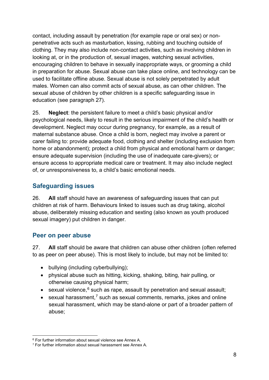contact, including assault by penetration (for example rape or oral sex) or nonpenetrative acts such as masturbation, kissing, rubbing and touching outside of clothing. They may also include non-contact activities, such as involving children in looking at, or in the production of, sexual images, watching sexual activities, encouraging children to behave in sexually inappropriate ways, or grooming a child in preparation for abuse. Sexual abuse can take place online, and technology can be used to facilitate offline abuse. Sexual abuse is not solely perpetrated by adult males. Women can also commit acts of sexual abuse, as can other children. The sexual abuse of children by other children is a specific safeguarding issue in education (see paragraph 27).

25. **Neglect**: the persistent failure to meet a child's basic physical and/or psychological needs, likely to result in the serious impairment of the child's health or development. Neglect may occur during pregnancy, for example, as a result of maternal substance abuse. Once a child is born, neglect may involve a parent or carer failing to: provide adequate food, clothing and shelter (including exclusion from home or abandonment); protect a child from physical and emotional harm or danger; ensure adequate supervision (including the use of inadequate care-givers); or ensure access to appropriate medical care or treatment. It may also include neglect of, or unresponsiveness to, a child's basic emotional needs.

#### **Safeguarding issues**

26. **All** staff should have an awareness of safeguarding issues that can put children at risk of harm. Behaviours linked to issues such as drug taking, alcohol abuse, deliberately missing education and sexting (also known as youth produced sexual imagery) put children in danger.

#### **Peer on peer abuse**

27. **All** staff should be aware that children can abuse other children (often referred to as peer on peer abuse). This is most likely to include, but may not be limited to:

- bullying (including cyberbullying);
- physical abuse such as hitting, kicking, shaking, biting, hair pulling, or otherwise causing physical harm;
- sexual violence, $6$  such as rape, assault by penetration and sexual assault;
- sexual harassment,<sup>[7](#page-7-1)</sup> such as sexual comments, remarks, jokes and online sexual harassment, which may be stand-alone or part of a broader pattern of abuse;

<span id="page-7-0"></span><sup>6</sup> For further information about sexual violence see Annex A.

<span id="page-7-1"></span><sup>7</sup> For further information about sexual harassment see Annex A.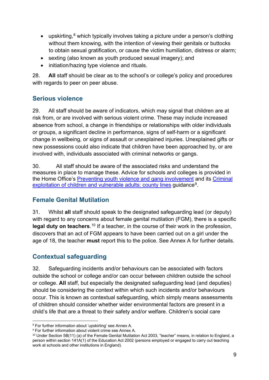- upskirting,<sup>[8](#page-8-0)</sup> which typically involves taking a picture under a person's clothing without them knowing, with the intention of viewing their genitals or buttocks to obtain sexual gratification, or cause the victim humiliation, distress or alarm;
- sexting (also known as youth produced sexual imagery); and
- initiation/hazing type violence and rituals.

28. **All** staff should be clear as to the school's or college's policy and procedures with regards to peer on peer abuse.

#### **Serious violence**

29. All staff should be aware of indicators, which may signal that children are at risk from, or are involved with serious violent crime. These may include increased absence from school, a change in friendships or relationships with older individuals or groups, a significant decline in performance, signs of self-harm or a significant change in wellbeing, or signs of assault or unexplained injuries. Unexplained gifts or new possessions could also indicate that children have been approached by, or are involved with, individuals associated with criminal networks or gangs.

30. All staff should be aware of the associated risks and understand the measures in place to manage these. Advice for schools and colleges is provided in the Home Office's [Preventing youth violence and gang involvement](https://www.gov.uk/government/publications/advice-to-schools-and-colleges-on-gangs-and-youth-violence) and its [Criminal](https://www.gov.uk/government/publications/criminal-exploitation-of-children-and-vulnerable-adults-county-lines)  [exploitation of children and vulnerable adults: county lines](https://www.gov.uk/government/publications/criminal-exploitation-of-children-and-vulnerable-adults-county-lines) guidance<sup>9</sup>.

#### **Female Genital Mutilation**

31. Whilst **all** staff should speak to the designated safeguarding lead (or deputy) with regard to any concerns about female genital mutilation (FGM), there is a specific legal duty on teachers.<sup>[10](#page-8-2)</sup> If a teacher, in the course of their work in the profession, discovers that an act of FGM appears to have been carried out on a girl under the age of 18, the teacher **must** report this to the police. See Annex A for further details.

#### **Contextual safeguarding**

32. Safeguarding incidents and/or behaviours can be associated with factors outside the school or college and/or can occur between children outside the school or college. **All** staff, but especially the designated safeguarding lead (and deputies) should be considering the context within which such incidents and/or behaviours occur. This is known as contextual safeguarding, which simply means assessments of children should consider whether wider environmental factors are present in a child's life that are a threat to their safety and/or welfare. Children's social care

<span id="page-8-0"></span><sup>8</sup> For further information about 'upskirting' see Annex A.

<span id="page-8-1"></span><sup>9</sup> For further information about violent crime see Annex A.

<span id="page-8-2"></span><sup>&</sup>lt;sup>10</sup> Under Section 5B(11) (a) of the Female Genital Mutilation Act 2003, "teacher" means, in relation to England, a person within section 141A(1) of the Education Act 2002 (persons employed or engaged to carry out teaching work at schools and other institutions in England).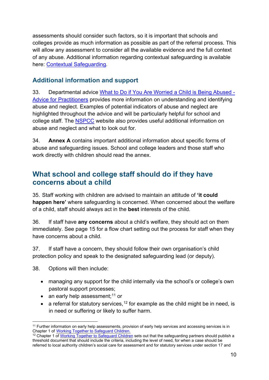assessments should consider such factors, so it is important that schools and colleges provide as much information as possible as part of the referral process. This will allow any assessment to consider all the available evidence and the full context of any abuse. Additional information regarding contextual safeguarding is available here: [Contextual Safeguarding.](https://contextualsafeguarding.org.uk/about/what-is-contextual-safeguarding)

#### **Additional information and support**

33. Departmental advice [What to Do if You Are Worried a Child is Being Abused -](https://www.gov.uk/government/publications/what-to-do-if-youre-worried-a-child-is-being-abused--2)  [Advice for Practitioners](https://www.gov.uk/government/publications/what-to-do-if-youre-worried-a-child-is-being-abused--2) provides more information on understanding and identifying abuse and neglect. Examples of potential indicators of abuse and neglect are highlighted throughout the advice and will be particularly helpful for school and college staff. The [NSPCC](https://www.nspcc.org.uk/preventing-abuse/child-abuse-and-neglect/) website also provides useful additional information on abuse and neglect and what to look out for.

34. **Annex A** contains important additional information about specific forms of abuse and safeguarding issues. School and college leaders and those staff who work directly with children should read the annex.

## <span id="page-9-0"></span>**What school and college staff should do if they have concerns about a child**

35. Staff working with children are advised to maintain an attitude of **'it could happen here'** where safeguarding is concerned. When concerned about the welfare of a child, staff should always act in the **best** interests of the child.

36. If staff have **any concerns** about a child's welfare, they should act on them immediately. See page 15 for a flow chart setting out the process for staff when they have concerns about a child.

37. If staff have a concern, they should follow their own organisation's child protection policy and speak to the designated safeguarding lead (or deputy).

38. Options will then include:

- managing any support for the child internally via the school's or college's own pastoral support processes;
- an early help assessment;  $11$  or
- a referral for statutory services,  $12$  for example as the child might be in need, is in need or suffering or likely to suffer harm.

<span id="page-9-1"></span><sup>&</sup>lt;sup>11</sup> Further information on early help assessments, provision of early help services and accessing services is in Chapter 1 of Working Together to Safeguard Children.

<span id="page-9-2"></span><sup>&</sup>lt;sup>12</sup> Chapter 1 of [Working Together to Safeguard Children](https://www.gov.uk/government/publications/working-together-to-safeguard-children--2) sets out that the safeguarding partners should publish a threshold document that should include the criteria, including the level of need, for when a case should be referred to local authority children's social care for assessment and for statutory services under section 17 and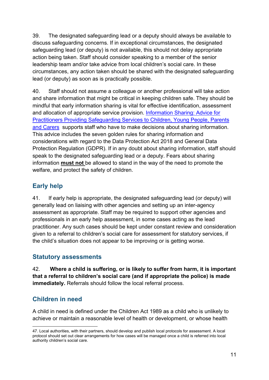39. The designated safeguarding lead or a deputy should always be available to discuss safeguarding concerns. If in exceptional circumstances, the designated safeguarding lead (or deputy) is not available, this should not delay appropriate action being taken. Staff should consider speaking to a member of the senior leadership team and/or take advice from local children's social care. In these circumstances, any action taken should be shared with the designated safeguarding lead (or deputy) as soon as is practically possible.

40. Staff should not assume a colleague or another professional will take action and share information that might be critical in keeping children safe. They should be mindful that early information sharing is vital for effective identification, assessment and allocation of appropriate service provision. [Information Sharing: Advice for](https://www.gov.uk/government/publications/safeguarding-practitioners-information-sharing-advice)  [Practitioners Providing Safeguarding Services to C](https://www.gov.uk/government/publications/safeguarding-practitioners-information-sharing-advice)hildren, Young People, Parents [and Carers](https://www.gov.uk/government/publications/safeguarding-practitioners-information-sharing-advice) supports staff who have to make decisions about sharing information. This advice includes the seven golden rules for sharing information and considerations with regard to the Data Protection Act 2018 and General Data Protection Regulation (GDPR). If in any doubt about sharing information, staff should speak to the designated safeguarding lead or a deputy. Fears about sharing information **must not** be allowed to stand in the way of the need to promote the welfare, and protect the safety of children.

#### **Early help**

41. If early help is appropriate, the designated safeguarding lead (or deputy) will generally lead on liaising with other agencies and setting up an inter-agency assessment as appropriate. Staff may be required to support other agencies and professionals in an early help assessment, in some cases acting as the lead practitioner. Any such cases should be kept under constant review and consideration given to a referral to children's social care for assessment for statutory services, if the child's situation does not appear to be improving or is getting worse.

#### **Statutory assessments**

42. **Where a child is suffering, or is likely to suffer from harm, it is important that a referral to children's social care (and if appropriate the police) is made immediately.** Referrals should follow the local referral process.

#### **Children in need**

A child in need is defined under the Children Act 1989 as a child who is unlikely to achieve or maintain a reasonable level of health or development, or whose health

<sup>47.</sup> Local authorities, with their partners, should develop and publish local protocols for assessment. A local protocol should set out clear arrangements for how cases will be managed once a child is referred into local authority children's social care.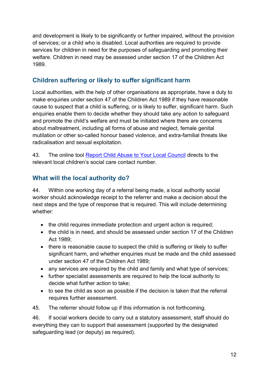and development is likely to be significantly or further impaired, without the provision of services; or a child who is disabled. Local authorities are required to provide services for children in need for the purposes of safeguarding and promoting their welfare. Children in need may be assessed under section 17 of the Children Act 1989.

#### **Children suffering or likely to suffer significant harm**

Local authorities, with the help of other organisations as appropriate, have a duty to make enquiries under section 47 of the Children Act 1989 if they have reasonable cause to suspect that a child is suffering, or is likely to suffer, significant harm. Such enquiries enable them to decide whether they should take any action to safeguard and promote the child's welfare and must be initiated where there are concerns about maltreatment, including all forms of abuse and neglect, female genital mutilation or other so-called honour based violence, and extra-familial threats like radicalisation and sexual exploitation.

43. The online tool [Report Child Abuse to Your Local Coun](https://www.gov.uk/report-child-abuse-to-local-council)cil directs to the relevant local children's social care contact number.

#### **What will the local authority do?**

44. Within one working day of a referral being made, a local authority social worker should acknowledge receipt to the referrer and make a decision about the next steps and the type of response that is required. This will include determining whether:

- the child requires immediate protection and urgent action is required;
- the child is in need, and should be assessed under section 17 of the Children Act 1989;
- there is reasonable cause to suspect the child is suffering or likely to suffer significant harm, and whether enquiries must be made and the child assessed under section 47 of the Children Act 1989;
- any services are required by the child and family and what type of services;
- further specialist assessments are required to help the local authority to decide what further action to take;
- to see the child as soon as possible if the decision is taken that the referral requires further assessment.
- 45. The referrer should follow up if this information is not forthcoming.

46. If social workers decide to carry out a statutory assessment, staff should do everything they can to support that assessment (supported by the designated safeguarding lead (or deputy) as required).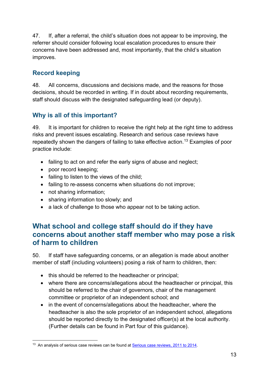47. If, after a referral, the child's situation does not appear to be improving, the referrer should consider following local escalation procedures to ensure their concerns have been addressed and, most importantly, that the child's situation improves.

## **Record keeping**

48. All concerns, discussions and decisions made, and the reasons for those decisions, should be recorded in writing. If in doubt about recording requirements, staff should discuss with the designated safeguarding lead (or deputy).

#### **Why is all of this important?**

49. It is important for children to receive the right help at the right time to address risks and prevent issues escalating. Research and serious case reviews have repeatedly shown the dangers of failing to take effective action.<sup>[13](#page-12-1)</sup> Examples of poor practice include:

- failing to act on and refer the early signs of abuse and neglect;
- poor record keeping;
- failing to listen to the views of the child;
- failing to re-assess concerns when situations do not improve;
- not sharing information;
- sharing information too slowly; and
- a lack of challenge to those who appear not to be taking action.

## <span id="page-12-0"></span>**What school and college staff should do if they have concerns about another staff member who may pose a risk of harm to children**

50. If staff have safeguarding concerns, or an allegation is made about another member of staff (including volunteers) posing a risk of harm to children, then:

- this should be referred to the headteacher or principal;
- where there are concerns/allegations about the headteacher or principal, this should be referred to the chair of governors, chair of the management committee or proprietor of an independent school; and
- in the event of concerns/allegations about the headteacher, where the headteacher is also the sole proprietor of an independent school, allegations should be reported directly to the designated officer(s) at the local authority. (Further details can be found in Part four of this guidance).

<span id="page-12-1"></span><sup>&</sup>lt;sup>13</sup> An analysis of serious case reviews can be found at [Serious case reviews, 2011 to 2014](https://www.gov.uk/government/publications/analysis-of-serious-case-reviews-2011-to-2014).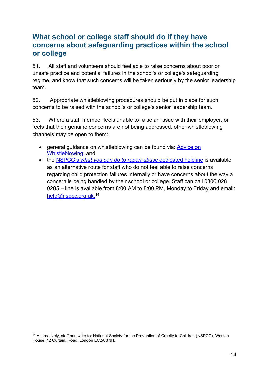## <span id="page-13-0"></span>**What school or college staff should do if they have concerns about safeguarding practices within the school or college**

51. All staff and volunteers should feel able to raise concerns about poor or unsafe practice and potential failures in the school's or college's safeguarding regime, and know that such concerns will be taken seriously by the senior leadership team.

52. Appropriate whistleblowing procedures should be put in place for such concerns to be raised with the school's or college's senior leadership team.

53. Where a staff member feels unable to raise an issue with their employer, or feels that their genuine concerns are not being addressed, other whistleblowing channels may be open to them:

- general quidance on whistleblowing can be found via: Advice on [Whistleblowing;](https://www.gov.uk/whistleblowing) and
- the NSPCC's *[what you can do to report abuse](https://www.nspcc.org.uk/what-you-can-do/report-abuse/dedicated-helplines/whistleblowing-advice-line/)* dedicated helpline is available as an alternative route for staff who do not feel able to raise concerns regarding child protection failures internally or have concerns about the way a concern is being handled by their school or college. Staff can call 0800 028 0285 – line is available from 8:00 AM to 8:00 PM, Monday to Friday and email: [help@nspcc.org.uk.](mailto:help@nspcc.org.uk) [14](#page-13-1)

<span id="page-13-1"></span><sup>&</sup>lt;sup>14</sup> Alternatively, staff can write to: National Society for the Prevention of Cruelty to Children (NSPCC), Weston House, 42 Curtain, Road, London EC2A 3NH.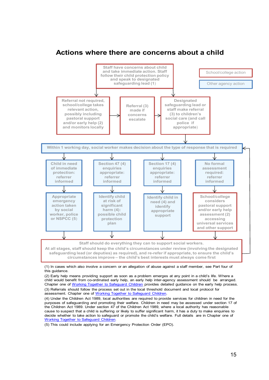#### **Actions where there are concerns about a child**



(1) In cases which also involve a concern or an allegation of abuse against a staff member, see Part four of this guidance.

(2) Early help means providing support as soon as a problem emerges at any point in a child's life. Where a child would benefit from co-ordinated early help, an early help inter-agency assessment should be arranged. Chapter one of Working Together to Safeguard Children provides detailed guidance on the early help process. (3) Referrals should follow the process set out in the local threshold document and local protocol for assessment. Chapter one of Working Together to Safeguard Children.

(4) Under the Children Act 1989, local authorities are required to provide services for children in need for the purposes of safeguarding and promoting their welfare. Children in need may be assessed under section 17 of the Children Act 1989. Under section 47 of the Children Act 1989, where a local authority has reasonable cause to suspect that a child is suffering or likely to suffer significant harm, it has a duty to make enquiries to decide whether to take action to safeguard or promote the child's welfare. Full details are in Chapter one of Working Together to Safeguard Children.

(5) This could include applying for an Emergency Protection Order (EPO).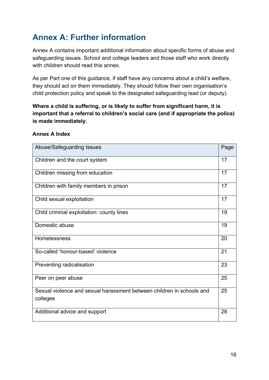# <span id="page-15-0"></span>**Annex A: Further information**

Annex A contains important additional information about specific forms of abuse and safeguarding issues. School and college leaders and those staff who work directly with children should read this annex.

As per Part one of this guidance, if staff have any concerns about a child's welfare, they should act on them immediately. They should follow their own organisation's child protection policy and speak to the designated safeguarding lead (or deputy).

**Where a child is suffering, or is likely to suffer from significant harm, it is important that a referral to children's social care (and if appropriate the police) is made immediately.**

| Abuse/Safeguarding Issues                                                         | Page |
|-----------------------------------------------------------------------------------|------|
| Children and the court system                                                     | 17   |
| Children missing from education                                                   | 17   |
| Children with family members in prison                                            | 17   |
| Child sexual exploitation                                                         | 17   |
| Child criminal exploitation: county lines                                         | 19   |
| Domestic abuse                                                                    | 19   |
| Homelessness                                                                      | 20   |
| So-called 'honour-based' violence                                                 | 21   |
| Preventing radicalisation                                                         | 23   |
| Peer on peer abuse                                                                | 25   |
| Sexual violence and sexual harassment between children in schools and<br>colleges | 25   |
| Additional advice and support                                                     | 28   |

#### **Annex A Index**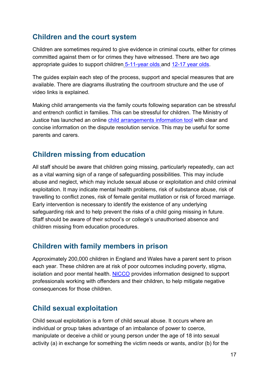## <span id="page-16-0"></span>**Children and the court system**

Children are sometimes required to give evidence in criminal courts, either for crimes committed against them or for crimes they have witnessed. There are two age appropriate guides to support children [5-11-year olds a](http://formfinder.hmctsformfinder.justice.gov.uk/ywp-5-11-eng.pdf)nd [12-17 year olds.](http://formfinder.hmctsformfinder.justice.gov.uk/ywp-12-17-eng.pdf)

The guides explain each step of the process, support and special measures that are available. There are diagrams illustrating the courtroom structure and the use of video links is explained.

Making child arrangements via the family courts following separation can be stressful and entrench conflict in families. This can be stressful for children. The Ministry of Justice has launched an online [child arrangements information tool](https://helpwithchildarrangements.service.justice.gov.uk/) with clear and concise information on the dispute resolution service. This may be useful for some parents and carers.

## <span id="page-16-1"></span>**Children missing from education**

All staff should be aware that children going missing, particularly repeatedly, can act as a vital warning sign of a range of safeguarding possibilities. This may include abuse and neglect, which may include sexual abuse or exploitation and child criminal exploitation. It may indicate mental health problems, risk of substance abuse, risk of travelling to conflict zones, risk of female genital mutilation or risk of forced marriage. Early intervention is necessary to identify the existence of any underlying safeguarding risk and to help prevent the risks of a child going missing in future. Staff should be aware of their school's or college's unauthorised absence and children missing from education procedures.

## <span id="page-16-2"></span>**Children with family members in prison**

Approximately 200,000 children in England and Wales have a parent sent to prison each year. These children are at risk of poor outcomes including poverty, stigma, isolation and poor mental health. [NICCO](https://www.nicco.org.uk/) provides information designed to support professionals working with offenders and their children, to help mitigate negative consequences for those children.

## <span id="page-16-3"></span>**Child sexual exploitation**

Child sexual exploitation is a form of child sexual abuse. It occurs where an individual or group takes advantage of an imbalance of power to coerce, manipulate or deceive a child or young person under the age of 18 into sexual activity (a) in exchange for something the victim needs or wants, and/or (b) for the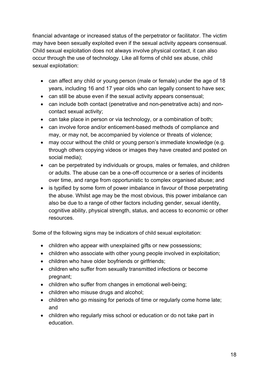financial advantage or increased status of the perpetrator or facilitator. The victim may have been sexually exploited even if the sexual activity appears consensual. Child sexual exploitation does not always involve physical contact, it can also occur through the use of technology. Like all forms of child sex abuse, child sexual exploitation:

- can affect any child or young person (male or female) under the age of 18 years, including 16 and 17 year olds who can legally consent to have sex;
- can still be abuse even if the sexual activity appears consensual;
- can include both contact (penetrative and non-penetrative acts) and noncontact sexual activity;
- can take place in person or via technology, or a combination of both;
- can involve force and/or enticement-based methods of compliance and may, or may not, be accompanied by violence or threats of violence;
- may occur without the child or young person's immediate knowledge (e.g. through others copying videos or images they have created and posted on social media);
- can be perpetrated by individuals or groups, males or females, and children or adults. The abuse can be a one-off occurrence or a series of incidents over time, and range from opportunistic to complex organised abuse; and
- is typified by some form of power imbalance in favour of those perpetrating the abuse. Whilst age may be the most obvious, this power imbalance can also be due to a range of other factors including gender, sexual identity, cognitive ability, physical strength, status, and access to economic or other resources.

Some of the following signs may be indicators of child sexual exploitation:

- children who appear with unexplained gifts or new possessions;
- children who associate with other young people involved in exploitation;
- children who have older boyfriends or girlfriends;
- children who suffer from sexually transmitted infections or become pregnant;
- children who suffer from changes in emotional well-being;
- children who misuse drugs and alcohol;
- children who go missing for periods of time or regularly come home late: and
- children who regularly miss school or education or do not take part in education.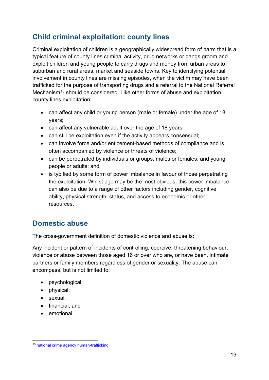## <span id="page-18-0"></span>**Child criminal exploitation: county lines**

Criminal exploitation of children is a geographically widespread form of harm that is a typical feature of county lines criminal activity, drug networks or gangs groom and exploit children and young people to carry drugs and money from urban areas to suburban and rural areas, market and seaside towns. Key to identifying potential involvement in county lines are missing episodes, when the victim may have been trafficked for the purpose of transporting drugs and a referral to the National Referral Mechanism<sup>[15](#page-18-2)</sup> should be considered. Like other forms of abuse and exploitation, county lines exploitation:

- can affect any child or young person (male or female) under the age of 18 years;
- can affect any vulnerable adult over the age of 18 years;
- can still be exploitation even if the activity appears consensual;
- can involve force and/or enticement-based methods of compliance and is often accompanied by violence or threats of violence;
- can be perpetrated by individuals or groups, males or females, and young people or adults; and
- is typified by some form of power imbalance in favour of those perpetrating the exploitation. Whilst age may be the most obvious, this power imbalance can also be due to a range of other factors including gender, cognitive ability, physical strength, status, and access to economic or other resources.

## <span id="page-18-1"></span>**Domestic abuse**

The cross-government definition of domestic violence and abuse is:

Any incident or pattern of incidents of controlling, coercive, threatening behaviour, violence or abuse between those aged 16 or over who are, or have been, intimate partners or family members regardless of gender or sexuality. The abuse can encompass, but is not limited to:

- psychological;
- physical;
- sexual;
- financial; and
- emotional.

<span id="page-18-2"></span><sup>15</sup> [national crime agency human-trafficking.](http://www.nationalcrimeagency.gov.uk/about-us/what-we-do/specialist-capabilities/uk-human-trafficking-centre/national-referral-mechanism)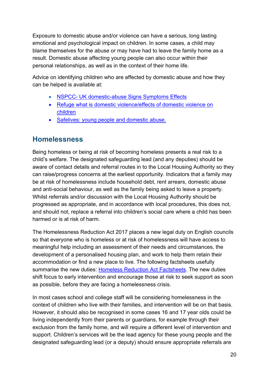Exposure to domestic abuse and/or violence can have a serious, long lasting emotional and psychological impact on children. In some cases, a child may blame themselves for the abuse or may have had to leave the family home as a result. Domestic abuse affecting young people can also occur within their personal relationships, as well as in the context of their home life.

Advice on identifying children who are affected by domestic abuse and how they can be helped is available at:

- [NSPCC- UK domestic-abuse Signs Symptoms Effects](https://www.nspcc.org.uk/preventing-abuse/child-abuse-and-neglect/domestic-abuse/signs-symptoms-effects/)
- Refuge what is domes[tic violence/effects of domestic violence on](http://www.refuge.org.uk/get-help-now/what-is-domestic-violence/effects-of-domestic-violence-on-children/)  [children](http://www.refuge.org.uk/get-help-now/what-is-domestic-violence/effects-of-domestic-violence-on-children/)
- [Safelives: young people and domestic abuse.](http://www.safelives.org.uk/knowledge-hub/spotlights/spotlight-3-young-people-and-domestic-abuse)

## <span id="page-19-0"></span>**Homelessness**

Being homeless or being at risk of becoming homeless presents a real risk to a child's welfare. The designated safeguarding lead (and any deputies) should be aware of contact details and referral routes in to the Local Housing Authority so they can raise/progress concerns at the earliest opportunity. Indicators that a family may be at risk of homelessness include household debt, rent arrears, domestic abuse and anti-social behaviour, as well as the family being asked to leave a property. Whilst referrals and/or discussion with the Local Housing Authority should be progressed as appropriate, and in accordance with local procedures, this does not, and should not, replace a referral into children's social care where a child has been harmed or is at risk of harm.

The Homelessness Reduction Act 2017 places a new legal duty on English councils so that everyone who is homeless or at risk of homelessness will have access to meaningful help including an assessment of their needs and circumstances, the development of a personalised housing plan, and work to help them retain their accommodation or find a new place to live. The following factsheets usefully summarise the new duties: [Homeless Reduction Act Factsheets](https://www.gov.uk/government/publications/homelessness-reduction-bill-policy-factsheets). The new duties shift focus to early intervention and encourage those at risk to seek support as soon as possible, before they are facing a homelessness crisis.

In most cases school and college staff will be considering homelessness in the context of children who live with their families, and intervention will be on that basis. However, it should also be recognised in some cases 16 and 17 year olds could be living independently from their parents or guardians, for example through their exclusion from the family home, and will require a different level of intervention and support. Children's services will be the lead agency for these young people and the designated safeguarding lead (or a deputy) should ensure appropriate referrals are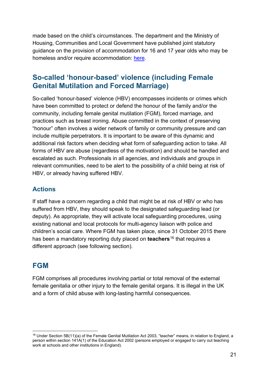made based on the child's circumstances. The department and the Ministry of Housing, Communities and Local Government have [published joint statutory](https://www.gov.uk/government/publications/provision-of-accommodation-for-16-and-17-year-olds-who-may-be-homeless-and-or-require-accommodation)  [guidance o](https://www.gov.uk/government/publications/provision-of-accommodation-for-16-and-17-year-olds-who-may-be-homeless-and-or-require-accommodation)n the provision of accommodation for 16 and 17 year olds who may be homeless and/or require accommodation: [here.](https://www.gov.uk/government/publications/homelessness-reduction-bill-policy-factsheets)

## <span id="page-20-0"></span>**So-called 'honour-based' violence (including Female Genital Mutilation and Forced Marriage)**

So-called 'honour-based' violence (HBV) encompasses incidents or crimes which have been committed to protect or defend the honour of the family and/or the community, including female genital mutilation (FGM), forced marriage, and practices such as breast ironing. Abuse committed in the context of preserving "honour" often involves a wider network of family or community pressure and can include multiple perpetrators. It is important to be aware of this dynamic and additional risk factors when deciding what form of safeguarding action to take. All forms of HBV are abuse (regardless of the motivation) and should be handled and escalated as such. Professionals in all agencies, and individuals and groups in relevant communities, need to be alert to the possibility of a child being at risk of HBV, or already having suffered HBV.

#### **Actions**

If staff have a concern regarding a child that might be at risk of HBV or who has suffered from HBV, they should speak to the designated safeguarding lead (or deputy). As appropriate, they will activate local safeguarding procedures, using existing national and local protocols for multi-agency liaison with police and children's social care. Where FGM has taken place, since 31 October 2015 there has been a mandatory reporting duty placed on **teachers**[16](#page-20-2) that requires a different approach (see following section).

## <span id="page-20-1"></span>**FGM**

FGM comprises all procedures involving partial or total removal of the external female genitalia or other injury to the female genital organs. It is illegal in the UK and a form of child abuse with long-lasting harmful consequences.

<span id="page-20-2"></span> $16$  Under Section 5B(11)(a) of the Female Genital Mutilation Act 2003, "teacher" means, in relation to England, a person within section 141A(1) of the Education Act 2002 (persons employed or engaged to carry out teaching work at schools and other institutions in England).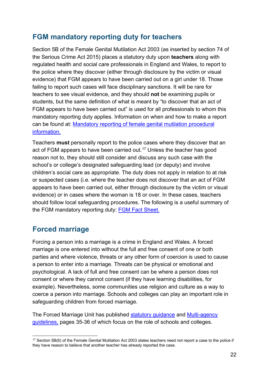## <span id="page-21-0"></span>**FGM mandatory reporting duty for teachers**

Section 5B of the Female Genital Mutilation Act 2003 (as inserted by section 74 of the Serious Crime Act 2015) places a statutory duty upon **teachers** along with regulated health and social care professionals in England and Wales, to report to the police where they discover (either through disclosure by the victim or visual evidence) that FGM appears to have been carried out on a girl under 18. Those failing to report such cases will face disciplinary sanctions. It will be rare for teachers to see visual evidence, and they should **not** be examining pupils or students, but the same definition of what is meant by "to discover that an act of FGM appears to have been carried out" is used for all professionals to whom this mandatory reporting duty applies. Information on when and how to make a report can be found at: Mandatory [reporting](https://www.gov.uk/government/publications/mandatory-reporting-of-female-genital-mutilation-procedural-information) of [female](https://www.gov.uk/government/publications/mandatory-reporting-of-female-genital-mutilation-procedural-information) genital mutilation procedural informatio[n.](https://www.gov.uk/government/publications/mandatory-reporting-of-female-genital-mutilation-procedural-information) 

Teachers **must** personally report to the police cases where they discover that an act of FGM appears to have been carried out.<sup>[17](#page-21-2)</sup> Unless the teacher has good reason not to, they should still consider and discuss any such case with the school's or college's designated safeguarding lead (or deputy) and involve children's social care as appropriate. The duty does not apply in relation to at risk or suspected cases (i.e. where the teacher does not discover that an act of FGM appears to have been carried out, either through disclosure by the victim or visual evidence) or in cases where the woman is 18 or over. In these cases, teachers should follow local safeguarding procedures. The following is a useful summary of the FGM mandatory reporting duty: [FGM Fact Sheet.](https://www.gov.uk/government/uploads/system/uploads/attachment_data/file/496415/6_1639_HO_SP_FGM_mandatory_reporting_Fact_sheet_Web.pdf)

## <span id="page-21-1"></span>**Forced marriage**

Forcing a person into a marriage is a crime in England and Wales. A forced marriage is one entered into without the full and free consent of one or both parties and where violence, threats or any other form of coercion is used to cause a person to enter into a marriage. Threats can be physical or emotional and psychological. A lack of full and free consent can be where a person does not consent or where they cannot consent (if they have learning disabilities, for example). Nevertheless, some communities use religion and culture as a way to coerce a person into marriage. Schools and colleges can play an important role in safeguarding children from forced marriage.

The Forced Marriage Unit has published [statutory guidance](https://www.gov.uk/government/uploads/system/uploads/attachment_data/file/322310/HMG_Statutory_Guidance_publication_180614_Final.pdf) and [Multi-agency](https://www.gov.uk/government/uploads/system/uploads/attachment_data/file/322307/HMG_MULTI_AGENCY_PRACTICE_GUIDELINES_v1_180614_FINAL.pdf)  [guidelines](https://www.gov.uk/government/uploads/system/uploads/attachment_data/file/322307/HMG_MULTI_AGENCY_PRACTICE_GUIDELINES_v1_180614_FINAL.pdf)[,](https://www.gov.uk/government/uploads/system/uploads/attachment_data/file/322307/HMG_MULTI_AGENCY_PRACTICE_GUIDELINES_v1_180614_FINAL.pdf) pages 35-36 of which focus on the role of schools and colleges.

<span id="page-21-2"></span><sup>&</sup>lt;sup>17</sup> Section 5B(6) of the Female Genital Mutilation Act 2003 states teachers need not report a case to the police if they have reason to believe that another teacher has already reported the case.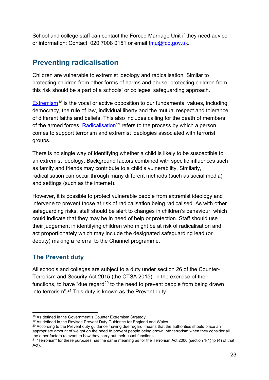School and college staff can contact the Forced Marriage Unit if they need advice or information: Contact: 020 7008 0151 or email [fmu@fco.gov.uk.](mailto:fmu@fco.gov.uk)

## <span id="page-22-0"></span>**Preventing radicalisation**

Children are vulnerable to extremist ideology and radicalisation. Similar to protecting children from other forms of harms and abuse, protecting children from this risk should be a part of a schools' or colleges' safeguarding approach.

[Extremism](https://assets.publishing.service.gov.uk/government/uploads/system/uploads/attachment_data/file/470088/51859_Cm9148_Accessible.pdf)<sup>[18](#page-22-1)</sup> is the vocal or active opposition to our fundamental values, including democracy, the rule of law, individual liberty and the mutual respect and tolerance of different faiths and beliefs. This also includes calling for the death of members of the armed forces. Radic[alisation](https://assets.publishing.service.gov.uk/government/uploads/system/uploads/attachment_data/file/445977/3799_Revised_Prevent_Duty_Guidance__England_Wales_V2-Interactive.pdf)<sup>[19](#page-22-2)</sup> refers to the process by which a person comes to support terrorism and extremist ideologies associated with terrorist groups.

There is no single way of identifying whether a child is likely to be susceptible to an extremist ideology. Background factors combined with specific influences such as family and friends may contribute to a child's vulnerability. Similarly, radicalisation can occur through many different methods (such as social media) and settings (such as the internet).

However, it is possible to protect vulnerable people from extremist ideology and intervene to prevent those at risk of radicalisation being radicalised. As with other safeguarding risks, staff should be alert to changes in children's behaviour, which could indicate that they may be in need of help or protection. Staff should use their judgement in identifying children who might be at risk of radicalisation and act proportionately which may include the designated safeguarding lead (or deputy) making a referral to the Channel programme.

#### **The Prevent duty**

All schools and colleges are subject to a duty under section 26 of the Counter-Terrorism and Security Act 2015 (the CTSA 2015), in the exercise of their functions, to have "due regard<sup>[20](#page-22-3)</sup> to the need to prevent people from being drawn into terrorism".[21](#page-22-4) This duty is known as the Prevent duty.

<span id="page-22-3"></span><span id="page-22-2"></span>

<span id="page-22-1"></span><sup>&</sup>lt;sup>18</sup> As defined in the Government's Counter Extremism Strategy.<br><sup>19</sup> As defined in the Revised Prevent Duty Guidance for England and Wales.<br><sup>20</sup> According to the Prevent duty guidance 'having due regard' means that the au appropriate amount of weight on the need to prevent people being drawn into terrorism when they consider all the other factors relevant to how they carry out their usual functions.

<span id="page-22-4"></span> $21$  "Terrorism" for these purposes has the same meaning as for the Terrorism Act 2000 (section 1(1) to (4) of that Act).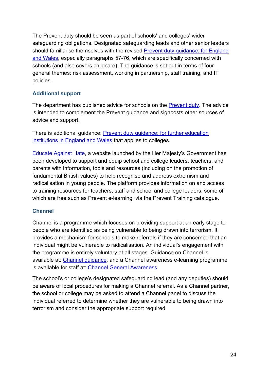The Prevent duty should be seen as part of schools' and colleges' wider safeguarding obligations. Designated safeguarding leads and other senior leaders should familiarise themselves with the revised [Prevent duty guidance: for England](https://www.gov.uk/government/publications/prevent-duty-guidance)  [and Wales](https://www.gov.uk/government/publications/prevent-duty-guidance), especially paragraphs 57-76, which [a](https://www.gov.uk/government/publications/prevent-duty-guidance)re specifically concerned with schools (and also covers childcare). The guidance is set out in terms of four general themes: risk assessment, working in partnership, staff training, and IT policies.

#### **Additional support**

The department has published advice for schools on the [Prevent duty.](https://www.gov.uk/government/publications/protecting-children-from-radicalisation-the-prevent-duty) The advice is intended to complement the Prevent guidance and signposts other sources of advice and support.

There is additional guidance: [Prevent duty guidance: for further education](https://www.gov.uk/government/publications/prevent-duty-guidance) [institutions in England and Wales](https://www.gov.uk/government/publications/prevent-duty-guidance) that applies to colleges.

**[Educate Against Hate](https://educateagainsthate.com/)[,](http://educateagainsthate.com/) a website launched by the Her Majesty's Government has** been developed to support and equip school and college leaders, teachers, and parents with information, tools and resources (including on the promotion of fundamental British values) to help recognise and address extremism and radicalisation in young people. The platform provides information on and access to training resources for teachers, staff and school and college leaders, some of which are free such as Prevent e-learning, via the Prevent Training catalogue.

#### **Channel**

Channel is a programme which focuses on providing support at an early stage to people who are identified as being vulnerable to being drawn into terrorism. It provides a mechanism for schools to make referrals if they are concerned that an individual might be vulnerable to radicalisation. An individual's engagement with the programme is entirely voluntary at all stages. Guidance on Channel is available at: [Channel guidance](https://www.gov.uk/government/publications/channel-guidance), and a Channel awareness e-learning programme is available for staff at: [Channel General Awareness](http://course.ncalt.com/Channel_General_Awareness/01/index.html)[.](http://course.ncalt.com/Channel_General_Awareness)

The school's or college's designated safeguarding lead (and any deputies) should be aware of local procedures for making a Channel referral. As a Channel partner, the school or college may be asked to attend a Channel panel to discuss the individual referred to determine whether they are vulnerable to being drawn into terrorism and consider the appropriate support required.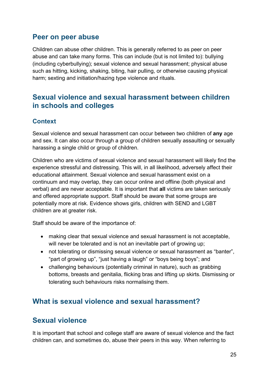## <span id="page-24-0"></span>**Peer on peer abuse**

Children can abuse other children. This is generally referred to as peer on peer abuse and can take many forms. This can include (but is not limited to): bullying (including cyberbullying); sexual violence and sexual harassment; physical abuse such as hitting, kicking, shaking, biting, hair pulling, or otherwise causing physical harm; sexting and initiation/hazing type violence and rituals.

## <span id="page-24-1"></span>**Sexual violence and sexual harassment between children in schools and colleges**

#### **Context**

Sexual violence and sexual harassment can occur between two children of **any** age and sex. It can also occur through a group of children sexually assaulting or sexually harassing a single child or group of children.

Children who are victims of sexual violence and sexual harassment will likely find the experience stressful and distressing. This will, in all likelihood, adversely affect their educational attainment. Sexual violence and sexual harassment exist on a continuum and may overlap, they can occur online and offline (both physical and verbal) and are never acceptable. It is important that **all** victims are taken seriously and offered appropriate support. Staff should be aware that some groups are potentially more at risk. Evidence shows girls, children with SEND and LGBT children are at greater risk.

Staff should be aware of the importance of:

- making clear that sexual violence and sexual harassment is not acceptable, will never be tolerated and is not an inevitable part of growing up;
- not tolerating or dismissing sexual violence or sexual harassment as "banter", "part of growing up", "just having a laugh" or "boys being boys"; and
- challenging behaviours (potentially criminal in nature), such as grabbing bottoms, breasts and genitalia, flicking bras and lifting up skirts. Dismissing or tolerating such behaviours risks normalising them.

## <span id="page-24-2"></span>**What is sexual violence and sexual harassment?**

## <span id="page-24-3"></span>**Sexual violence**

It is important that school and college staff are aware of sexual violence and the fact children can, and sometimes do, abuse their peers in this way. When referring to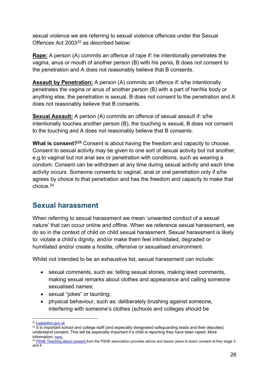sexual violence we are referring to sexual violence offences under the Sexual Offences Act 2003<sup>[22](#page-25-1)</sup> as described below:

**Rape:** A person (A) commits an offence of rape if: he intentionally penetrates the vagina, anus or mouth of another person (B) with his penis, B does not consent to the penetration and A does not reasonably believe that B consents.

**Assault by Penetration:** A person (A) commits an offence if: s/he intentionally penetrates the vagina or anus of another person (B) with a part of her/his body or anything else, the penetration is sexual, B does not consent to the penetration and A does not reasonably believe that B consents.

**Sexual Assault:** A person (A) commits an offence of sexual assault if: s/he intentionally touches another person (B), the touching is sexual, B does not consent to the touching and A does not reasonably believe that B consents.

**What is consent?[23](#page-25-2)** Consent is about having the freedom and capacity to choose. Consent to sexual activity may be given to one sort of sexual activity but not another, e.g.to vaginal but not anal sex or penetration with conditions, such as wearing a condom. Consent can be withdrawn at any time during sexual activity and each time activity occurs. Someone consents to vaginal, anal or oral penetration only if s/he agrees by choice to that penetration and has the freedom and capacity to make that choice.[24](#page-25-3)

## <span id="page-25-0"></span>**Sexual harassment**

When referring to sexual harassment we mean 'unwanted conduct of a sexual nature' that can occur online and offline. When we reference sexual harassment, we do so in the context of child on child sexual harassment. Sexual harassment is likely to: violate a child's dignity, and/or make them feel intimidated, degraded or humiliated and/or create a hostile, offensive or sexualised environment.

Whilst not intended to be an exhaustive list, sexual harassment can include:

- sexual comments, such as: telling sexual stories, making lewd comments, making sexual remarks about clothes and appearance and calling someone sexualised names;
- sexual "jokes" or taunting;
- physical behaviour, such as: deliberately brushing against someone, interfering with someone's clothes (schools and colleges should be

<span id="page-25-2"></span><span id="page-25-1"></span> $22$  Legislation.gov.uk<br> $23$  It is important school and college staff (and especially designated safeguarding leads and their deputies) understand consent. This will be especially important if a child is reporting they have been raped. More information: [here.](https://www.disrespectnobody.co.uk/consent/what-is-consent/)

<span id="page-25-3"></span><sup>&</sup>lt;sup>24</sup> [PSHE Teaching about consent fr](https://www.pshe-association.org.uk/curriculum-and-resources/resources/guidance-teaching-about-consent-pshe-education-key)om the PSHE association provides advice and lesson plans to teach consent at Key stage 3 and 4.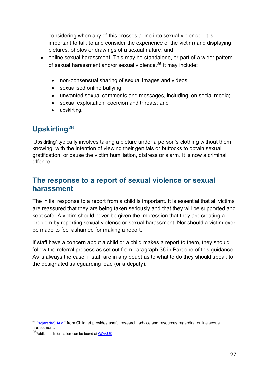considering when any of this crosses a line into sexual violence - it is important to talk to and consider the experience of the victim) and displaying pictures, photos or drawings of a sexual nature; and

- online sexual harassment. This may be standalone, or part of a wider pattern of sexual harassment and/or sexual violence.<sup>[25](#page-26-3)</sup> It may include:
	- non-consensual sharing of sexual images and videos;
	- sexualised online bullying;
	- unwanted sexual comments and messages, including, on social media;
	- sexual exploitation; coercion and threats; and
	- upskirting.

# <span id="page-26-0"></span>**Upskirting[26](#page-26-4)**

'Upskirting' typically involves taking a picture under a person's clothing without them knowing, with the intention of viewing their genitals or buttocks to obtain sexual gratification, or cause the victim humiliation, distress or alarm. It is now a criminal offence.

## <span id="page-26-1"></span>**The response to a report of sexual violence or sexual harassment**

The initial response to a report from a child is important. It is essential that all victims are reassured that they are being taken seriously and that they will be supported and kept safe. A victim should never be given the impression that they are creating a problem by reporting sexual violence or sexual harassment. Nor should a victim ever be made to feel ashamed for making a report.

If staff have a concern about a child or a child makes a report to them, they should follow the referral process as set out from paragraph 36 in Part one of this guidance. As is always the case, if staff are in any doubt as to what to do they should speak to the designated safeguarding lead (or a deputy).

<span id="page-26-3"></span><span id="page-26-2"></span><sup>&</sup>lt;sup>25</sup> [Project deSHAME](http://www.childnet.com/our-projects/project-deshame) from Childnet provides useful research, advice and resources regarding online sexual harassment.

<span id="page-26-4"></span><sup>26</sup> Additional information can be found a[t GOV.UK.](https://www.gov.uk/government/news/upskirting-law-comes-into-force)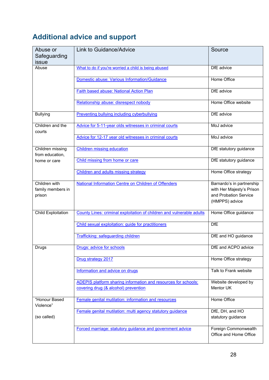# **Additional advice and support**

| Abuse or<br>Safeguarding<br>issue            | Link to Guidance/Advice                                                                                | Source                                                                                            |
|----------------------------------------------|--------------------------------------------------------------------------------------------------------|---------------------------------------------------------------------------------------------------|
| Abuse                                        | What to do if you're worried a child is being abused                                                   | DfE advice                                                                                        |
|                                              | Domestic abuse: Various Information/Guidance                                                           | Home Office                                                                                       |
|                                              | <b>Faith based abuse: National Action Plan</b>                                                         | DfE advice                                                                                        |
|                                              | Relationship abuse: disrespect nobody                                                                  | Home Office website                                                                               |
| <b>Bullying</b>                              | Preventing bullying including cyberbullying                                                            | DfE advice                                                                                        |
| Children and the<br>courts                   | Advice for 5-11-year olds witnesses in criminal courts                                                 | MoJ advice                                                                                        |
|                                              | Advice for 12-17 year old witnesses in criminal courts                                                 | MoJ advice                                                                                        |
| Children missing<br>from education,          | <b>Children missing education</b>                                                                      | DfE statutory guidance                                                                            |
| home or care                                 | Child missing from home or care                                                                        | DfE statutory guidance                                                                            |
|                                              | Children and adults missing strategy                                                                   | Home Office strategy                                                                              |
| Children with<br>family members in<br>prison | <b>National Information Centre on Children of Offenders</b>                                            | Barnardo's in partnership<br>with Her Majesty's Prison<br>and Probation Service<br>(HMPPS) advice |
| <b>Child Exploitation</b>                    | County Lines: criminal exploitation of children and vulnerable adults                                  | Home Office guidance                                                                              |
|                                              | Child sexual exploitation: guide for practitioners                                                     | DfE                                                                                               |
|                                              | Trafficking: safeguarding children                                                                     | DfE and HO guidance                                                                               |
| Drugs                                        | Drugs: advice for schools                                                                              | DfE and ACPO advice                                                                               |
|                                              | Drug strategy 2017                                                                                     | Home Office strategy                                                                              |
|                                              | Information and advice on drugs                                                                        | Talk to Frank website                                                                             |
|                                              | ADEPIS platform sharing information and resources for schools:<br>covering drug (& alcohol) prevention | Website developed by<br>Mentor UK                                                                 |
| "Honour Based<br>Violence"<br>(so called)    | Female genital mutilation: information and resources                                                   | Home Office                                                                                       |
|                                              | Female genital mutilation: multi agency statutory guidance                                             | DfE, DH, and HO<br>statutory guidance                                                             |
|                                              | Forced marriage: statutory guidance and government advice                                              | Foreign Commonwealth<br>Office and Home Office                                                    |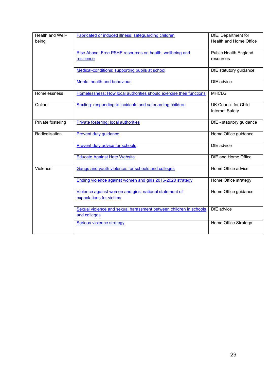| Health and Well-  | Fabricated or induced illness: safeguarding children                                | DfE, Department for          |
|-------------------|-------------------------------------------------------------------------------------|------------------------------|
| being             |                                                                                     | Health and Home Office       |
|                   | Rise Above: Free PSHE resources on health, wellbeing and                            | <b>Public Health England</b> |
|                   | resilience                                                                          | resources                    |
|                   | Medical-conditions: supporting pupils at school                                     | DfE statutory guidance       |
|                   | Mental health and behaviour                                                         | DfE advice                   |
| Homelessness      | Homelessness: How local authorities should exercise their functions                 | <b>MHCLG</b>                 |
| Online            | Sexting: responding to incidents and safeuarding children                           | <b>UK Council for Child</b>  |
|                   |                                                                                     | Internet Safety              |
| Private fostering | Private fostering: local authorities                                                | DfE - statutory guidance     |
| Radicalisation    | Prevent duty guidance                                                               | Home Office guidance         |
|                   | <b>Prevent duty advice for schools</b>                                              | DfE advice                   |
|                   | <b>Educate Against Hate Website</b>                                                 | DfE and Home Office          |
| Violence          | Gangs and youth violence: for schools and colleges                                  | Home Office advice           |
|                   | Ending violence against women and girls 2016-2020 strategy                          | Home Office strategy         |
|                   | Violence against women and girls: national statement of<br>expectations for victims | Home Office guidance         |
|                   | Sexual violence and sexual harassment between children in schools<br>and colleges   | DfE advice                   |
|                   | <b>Serious violence strategy</b>                                                    | Home Office Strategy         |